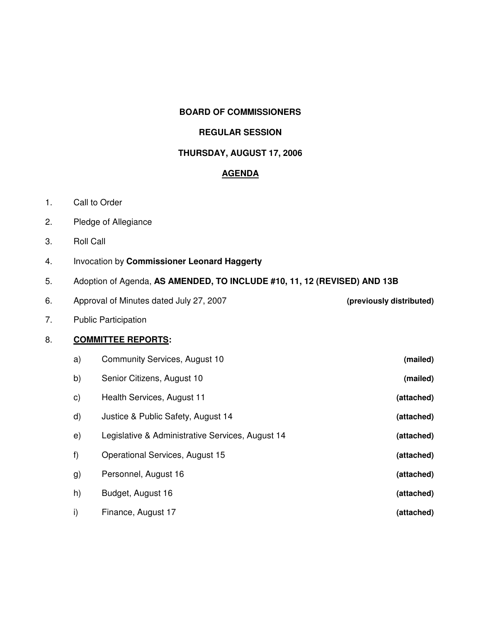#### **BOARD OF COMMISSIONERS**

#### **REGULAR SESSION**

# **THURSDAY, AUGUST 17, 2006**

## **AGENDA**

- 1. Call to Order
- 2. Pledge of Allegiance
- 3. Roll Call
- 4. Invocation by **Commissioner Leonard Haggerty**
- 5. Adoption of Agenda, **AS AMENDED, TO INCLUDE #10, 11, 12 (REVISED) AND 13B**
- 6. Approval of Minutes dated July 27, 2007 **(previously distributed)**

7. Public Participation

## 8. **COMMITTEE REPORTS:**

| (mailed)   | Community Services, August 10                    | a)            |
|------------|--------------------------------------------------|---------------|
| (mailed)   | Senior Citizens, August 10                       | b)            |
| (attached) | Health Services, August 11                       | $\mathsf{c})$ |
| (attached) | Justice & Public Safety, August 14               | d)            |
| (attached) | Legislative & Administrative Services, August 14 | e)            |
| (attached) | Operational Services, August 15                  | f)            |
| (attached) | Personnel, August 16                             | g)            |
| (attached) | Budget, August 16                                | h)            |
| (attached) | Finance, August 17                               | i)            |